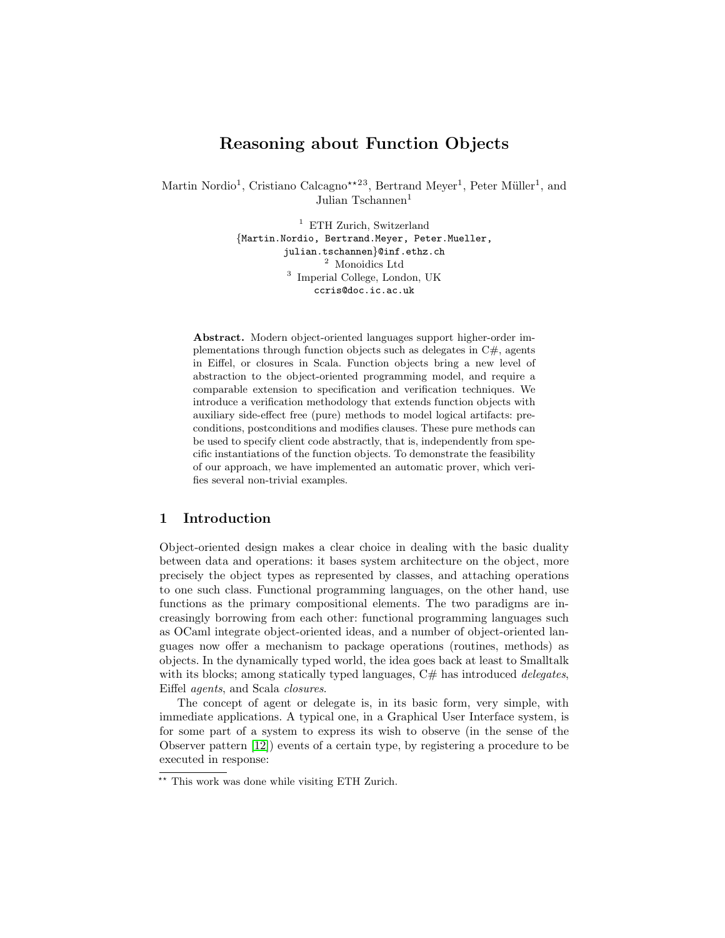# Reasoning about Function Objects

Martin Nordio<sup>1</sup>, Cristiano Calcagno<sup>\*\*23</sup>, Bertrand Meyer<sup>1</sup>, Peter Müller<sup>1</sup>, and Julian Tschannen<sup>1</sup>

> <sup>1</sup> ETH Zurich, Switzerland {Martin.Nordio, Bertrand.Meyer, Peter.Mueller, julian.tschannen}@inf.ethz.ch <sup>2</sup> Monoidics Ltd 3 Imperial College, London, UK ccris@doc.ic.ac.uk

Abstract. Modern object-oriented languages support higher-order implementations through function objects such as delegates in  $C#$ , agents in Eiffel, or closures in Scala. Function objects bring a new level of abstraction to the object-oriented programming model, and require a comparable extension to specification and verification techniques. We introduce a verification methodology that extends function objects with auxiliary side-effect free (pure) methods to model logical artifacts: preconditions, postconditions and modifies clauses. These pure methods can be used to specify client code abstractly, that is, independently from specific instantiations of the function objects. To demonstrate the feasibility of our approach, we have implemented an automatic prover, which verifies several non-trivial examples.

### 1 Introduction

Object-oriented design makes a clear choice in dealing with the basic duality between data and operations: it bases system architecture on the object, more precisely the object types as represented by classes, and attaching operations to one such class. Functional programming languages, on the other hand, use functions as the primary compositional elements. The two paradigms are increasingly borrowing from each other: functional programming languages such as OCaml integrate object-oriented ideas, and a number of object-oriented languages now offer a mechanism to package operations (routines, methods) as objects. In the dynamically typed world, the idea goes back at least to Smalltalk with its blocks; among statically typed languages,  $C#$  has introduced *delegates*, Eiffel agents, and Scala closures.

The concept of agent or delegate is, in its basic form, very simple, with immediate applications. A typical one, in a Graphical User Interface system, is for some part of a system to express its wish to observe (in the sense of the Observer pattern [\[12\]](#page-17-0)) events of a certain type, by registering a procedure to be executed in response:

<sup>\*\*</sup> This work was done while visiting ETH Zurich.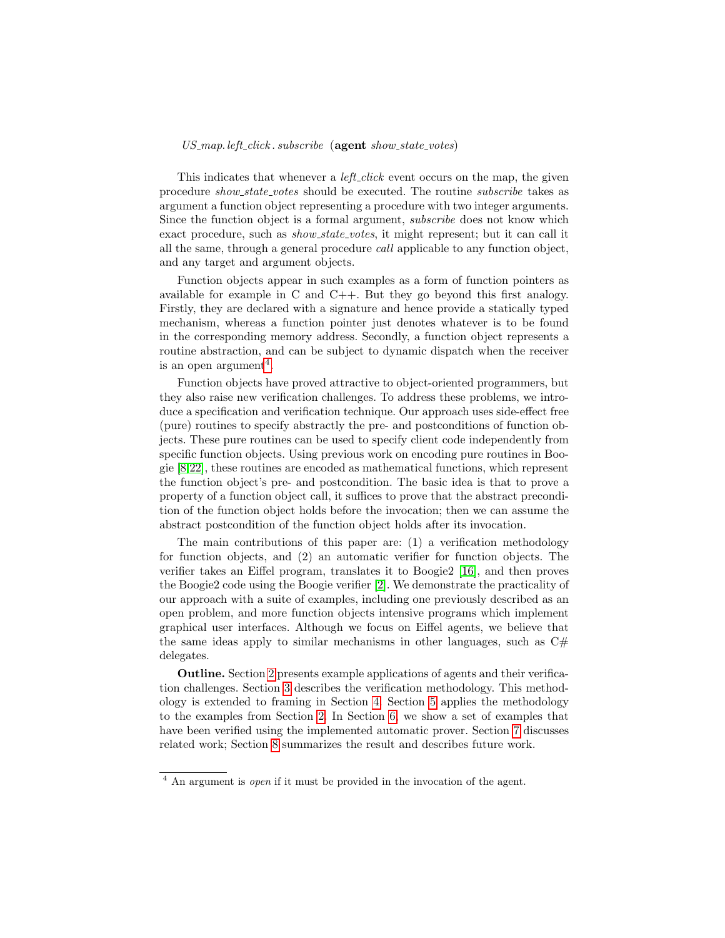#### $US_map.$  left\_click . subscribe (agent show\_state\_votes)

This indicates that whenever a *left-click* event occurs on the map, the given procedure show state votes should be executed. The routine subscribe takes as argument a function object representing a procedure with two integer arguments. Since the function object is a formal argument, subscribe does not know which exact procedure, such as *show\_state\_votes*, it might represent; but it can call it all the same, through a general procedure call applicable to any function object, and any target and argument objects.

Function objects appear in such examples as a form of function pointers as available for example in C and  $C_{++}$ . But they go beyond this first analogy. Firstly, they are declared with a signature and hence provide a statically typed mechanism, whereas a function pointer just denotes whatever is to be found in the corresponding memory address. Secondly, a function object represents a routine abstraction, and can be subject to dynamic dispatch when the receiver is an open argument<sup>[4](#page-1-0)</sup>.

Function objects have proved attractive to object-oriented programmers, but they also raise new verification challenges. To address these problems, we introduce a specification and verification technique. Our approach uses side-effect free (pure) routines to specify abstractly the pre- and postconditions of function objects. These pure routines can be used to specify client code independently from specific function objects. Using previous work on encoding pure routines in Boogie [\[8](#page-17-1)[,22\]](#page-17-2), these routines are encoded as mathematical functions, which represent the function object's pre- and postcondition. The basic idea is that to prove a property of a function object call, it suffices to prove that the abstract precondition of the function object holds before the invocation; then we can assume the abstract postcondition of the function object holds after its invocation.

The main contributions of this paper are: (1) a verification methodology for function objects, and (2) an automatic verifier for function objects. The verifier takes an Eiffel program, translates it to Boogie2 [\[16\]](#page-17-3), and then proves the Boogie2 code using the Boogie verifier [\[2\]](#page-16-0). We demonstrate the practicality of our approach with a suite of examples, including one previously described as an open problem, and more function objects intensive programs which implement graphical user interfaces. Although we focus on Eiffel agents, we believe that the same ideas apply to similar mechanisms in other languages, such as  $C#$ delegates.

Outline. Section [2](#page-2-0) presents example applications of agents and their verification challenges. Section [3](#page-4-0) describes the verification methodology. This methodology is extended to framing in Section [4.](#page-8-0) Section [5](#page-11-0) applies the methodology to the examples from Section [2.](#page-2-0) In Section [6,](#page-13-0) we show a set of examples that have been verified using the implemented automatic prover. Section [7](#page-15-0) discusses related work; Section [8](#page-16-1) summarizes the result and describes future work.

<span id="page-1-0"></span><sup>4</sup> An argument is open if it must be provided in the invocation of the agent.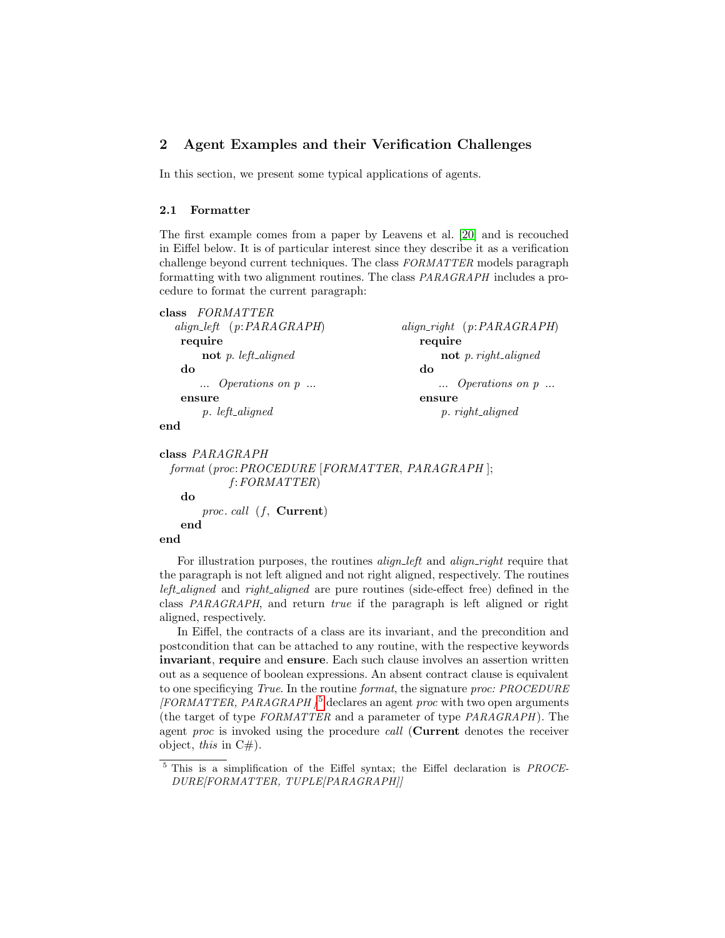# <span id="page-2-0"></span>2 Agent Examples and their Verification Challenges

In this section, we present some typical applications of agents.

#### <span id="page-2-2"></span>2.1 Formatter

The first example comes from a paper by Leavens et al. [\[20\]](#page-17-4) and is recouched in Eiffel below. It is of particular interest since they describe it as a verification challenge beyond current techniques. The class FORMATTER models paragraph formatting with two alignment routines. The class PARAGRAPH includes a procedure to format the current paragraph:

```
class FORMATTER
 align left (p:PARAGRAPH) align right (p:PARAGRAPH)
  require require
    not p. left_aligned not p. right_aligned
  do do
    \ldots Operations on p \ldots ... ... Operations on p \ldotsensure ensure
    p. left_aligned p. right_aligned
end
```

```
class PARAGRAPH
 format (proc:PROCEDURE [FORMATTER, PARAGRAPH ];
          f:FORMATTER)do
      proc. call (f, Current)
   end
end
```
For illustration purposes, the routines *align\_left* and *align\_right* require that the paragraph is not left aligned and not right aligned, respectively. The routines left aligned and right aligned are pure routines (side-effect free) defined in the class PARAGRAPH, and return true if the paragraph is left aligned or right aligned, respectively.

In Eiffel, the contracts of a class are its invariant, and the precondition and postcondition that can be attached to any routine, with the respective keywords invariant, require and ensure. Each such clause involves an assertion written out as a sequence of boolean expressions. An absent contract clause is equivalent to one specificying True. In the routine format, the signature proc: PROCEDURE  $[FORMATTER, PARAGRAPH]$ <sup>[5](#page-2-1)</sup> declares an agent *proc* with two open arguments (the target of type  $FORMATTER$  and a parameter of type  $PARAGRAPH$ ). The agent proc is invoked using the procedure call (Current denotes the receiver object, this in  $C#$ ).

<span id="page-2-1"></span><sup>&</sup>lt;sup>5</sup> This is a simplification of the Eiffel syntax; the Eiffel declaration is PROCE-DURE[FORMATTER, TUPLE[PARAGRAPH]]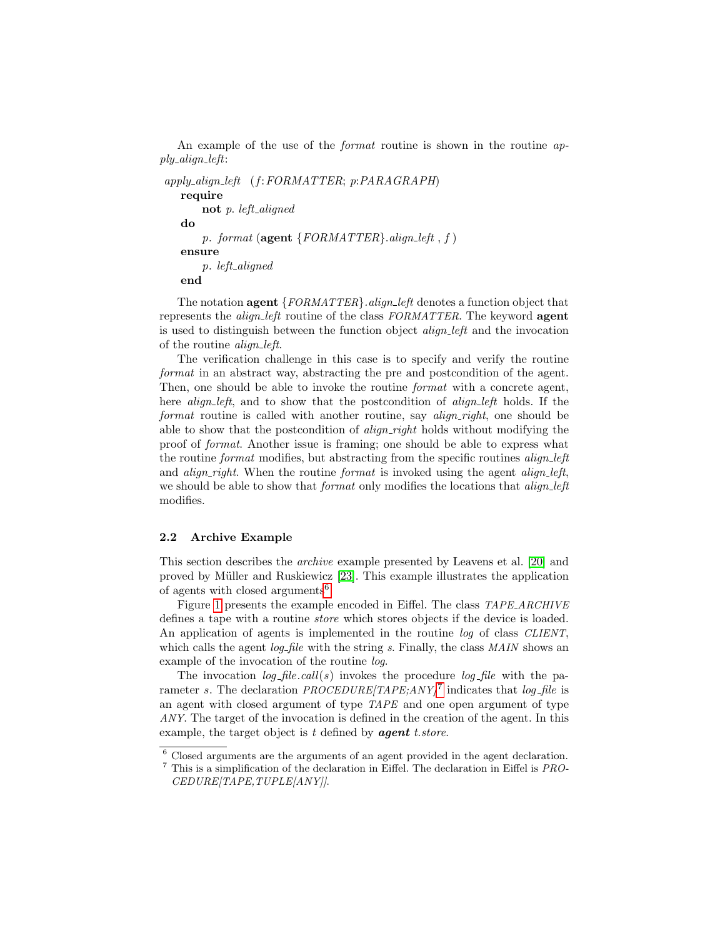An example of the use of the *format* routine is shown in the routine ap $ply\_align\_left$ :

```
apply\_align\_left (f: FORMATTER; p: PARAGRAPH)
  require
      not p. left_aligned
  do
       p. format (agent {FORMATTER}).align_left, f)
  ensure
       p. left_aligned
  end
```
The notation **agent**  ${FORMATTER}$ . *align\_left* denotes a function object that represents the *align\_left* routine of the class FORMATTER. The keyword **agent** is used to distinguish between the function object align left and the invocation of the routine *align\_left*.

The verification challenge in this case is to specify and verify the routine format in an abstract way, abstracting the pre and postcondition of the agent. Then, one should be able to invoke the routine *format* with a concrete agent, here *align-left*, and to show that the postcondition of *align-left* holds. If the format routine is called with another routine, say *align\_right*, one should be able to show that the postcondition of *align\_right* holds without modifying the proof of format. Another issue is framing; one should be able to express what the routine *format* modifies, but abstracting from the specific routines *align\_left* and  $align\_right$ . When the routine *format* is invoked using the agent  $align\_left$ . we should be able to show that *format* only modifies the locations that *align\_left* modifies.

#### 2.2 Archive Example

This section describes the archive example presented by Leavens et al. [\[20\]](#page-17-4) and proved by M¨uller and Ruskiewicz [\[23\]](#page-17-5). This example illustrates the application of agents with closed arguments<sup>[6](#page-3-0)</sup>.

Figure [1](#page-4-1) presents the example encoded in Eiffel. The class TAPE ARCHIVE defines a tape with a routine store which stores objects if the device is loaded. An application of agents is implemented in the routine log of class CLIENT, which calls the agent  $log$ -file with the string s. Finally, the class MAIN shows an example of the invocation of the routine *log*.

The invocation  $log_{fl}$  file.call(s) invokes the procedure  $log_{fl}$  file with the parameter s. The declaration  $PROCEDURE [TAPE; ANY]^7$  $PROCEDURE [TAPE; ANY]^7$  indicates that  $log$ -file is an agent with closed argument of type TAPE and one open argument of type ANY. The target of the invocation is defined in the creation of the agent. In this example, the target object is  $t$  defined by **agent** t.store.

<span id="page-3-0"></span><sup>6</sup> Closed arguments are the arguments of an agent provided in the agent declaration.

<span id="page-3-1"></span> $^7$  This is a simplification of the declaration in Eiffel. The declaration in Eiffel is PRO-CEDURE[TAPE,TUPLE[ANY]].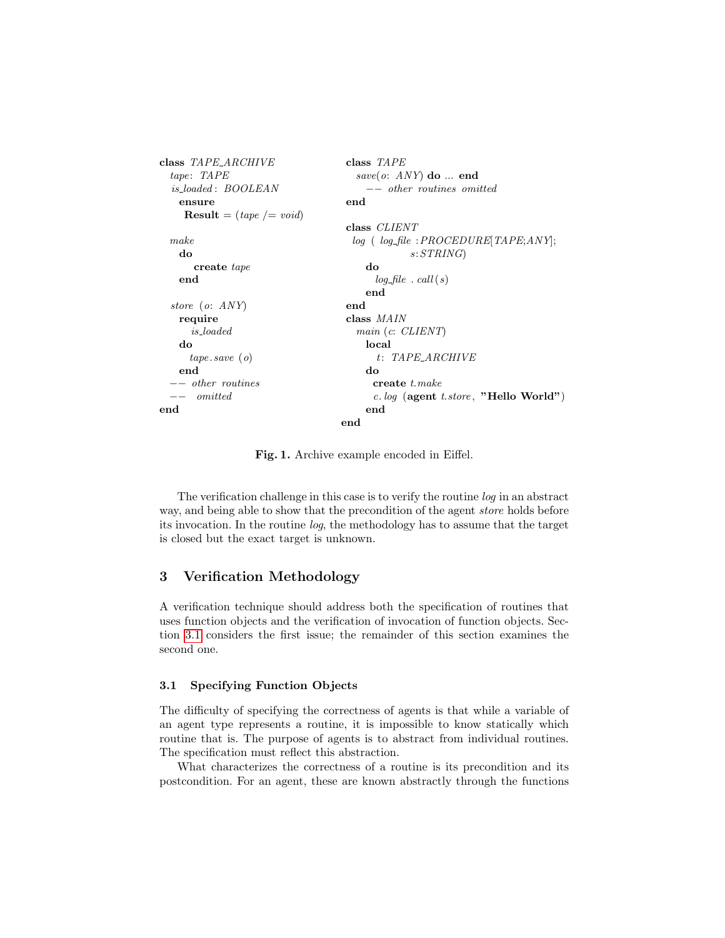```
class TAPE_ARCHIVE class TAPE
 tape: TAPE save(o: ANY) do ... end
 is loaded : BOOLEAN −− other routines omitted
  ensure end
  Result = (tape \neq void)
                    class CLIENT
 \label{eq:log2} log \ \ ( \ log\text{-}file \ : PROCEDURE[ \ \texttt{TAPE}; \ \texttt{ANY}];\bf{do} s:STRINGcreate tape do
  end log_file . call(s)end
 store (o: ANY) end
  require class MAINis loaded main (c: CLIENT)
  do local
   tape.save (o) t: TAPE\_ARCHIVEend do
 −− other routines create t.make
 - omitted c. log (agent t.store, "Hello World")
end end
                   end
```
<span id="page-4-1"></span>Fig. 1. Archive example encoded in Eiffel.

The verification challenge in this case is to verify the routine log in an abstract way, and being able to show that the precondition of the agent *store* holds before its invocation. In the routine log, the methodology has to assume that the target is closed but the exact target is unknown.

# <span id="page-4-0"></span>3 Verification Methodology

A verification technique should address both the specification of routines that uses function objects and the verification of invocation of function objects. Section [3.1](#page-4-2) considers the first issue; the remainder of this section examines the second one.

### <span id="page-4-2"></span>3.1 Specifying Function Objects

The difficulty of specifying the correctness of agents is that while a variable of an agent type represents a routine, it is impossible to know statically which routine that is. The purpose of agents is to abstract from individual routines. The specification must reflect this abstraction.

What characterizes the correctness of a routine is its precondition and its postcondition. For an agent, these are known abstractly through the functions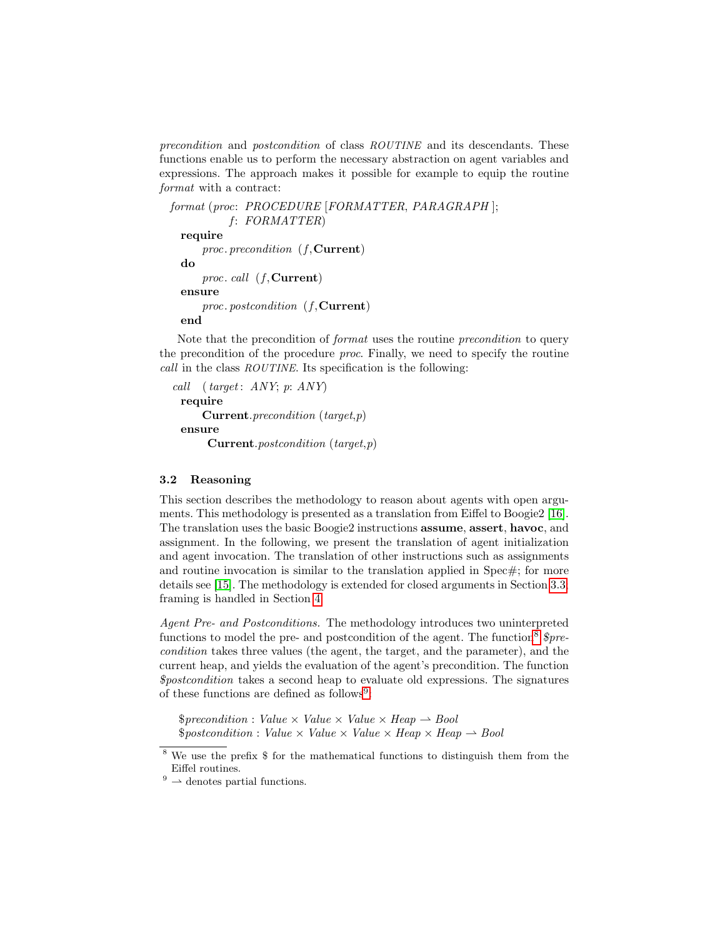precondition and postcondition of class ROUTINE and its descendants. These functions enable us to perform the necessary abstraction on agent variables and expressions. The approach makes it possible for example to equip the routine format with a contract:

```
format (proc: PROCEDURE [FORMATTER, PARAGRAPH ];
         f: FORMATTER)require
     proc. precondition (f, Current)do
     proc. call (f,Current)
 ensure
     proc. postcondition (f,Current)
 end
```
Note that the precondition of *format* uses the routine *precondition* to query the precondition of the procedure proc. Finally, we need to specify the routine call in the class ROUTINE. Its specification is the following:

```
call (target: ANY; p: ANY)
 require
     Current.precondition (target,p)
 ensure
      Current.postcondition (target,p)
```
### <span id="page-5-2"></span>3.2 Reasoning

This section describes the methodology to reason about agents with open arguments. This methodology is presented as a translation from Eiffel to Boogie2 [\[16\]](#page-17-3). The translation uses the basic Boogie2 instructions assume, assert, havoc, and assignment. In the following, we present the translation of agent initialization and agent invocation. The translation of other instructions such as assignments and routine invocation is similar to the translation applied in  $Spec\#$ ; for more details see [\[15\]](#page-17-6). The methodology is extended for closed arguments in Section [3.3;](#page-6-0) framing is handled in Section [4.](#page-8-0)

Agent Pre- and Postconditions. The methodology introduces two uninterpreted functions to model the pre- and postcondition of the agent. The function<sup>[8](#page-5-0)</sup>  $\text{\$pre-}$ condition takes three values (the agent, the target, and the parameter), and the current heap, and yields the evaluation of the agent's precondition. The function \$postcondition takes a second heap to evaluate old expressions. The signatures of these functions are defined as follows<sup>[9](#page-5-1)</sup>:

 $\text{\$precondition : Value} \times \text{Value} \times \text{Value} \times \text{Heap} \rightarrow \text{Bool}$  $$postcondition : Value \times Value \times Value \times Have \times Heavy$ 

<span id="page-5-0"></span><sup>8</sup> We use the prefix \$ for the mathematical functions to distinguish them from the Eiffel routines.

<span id="page-5-1"></span> $9 \rightarrow$  denotes partial functions.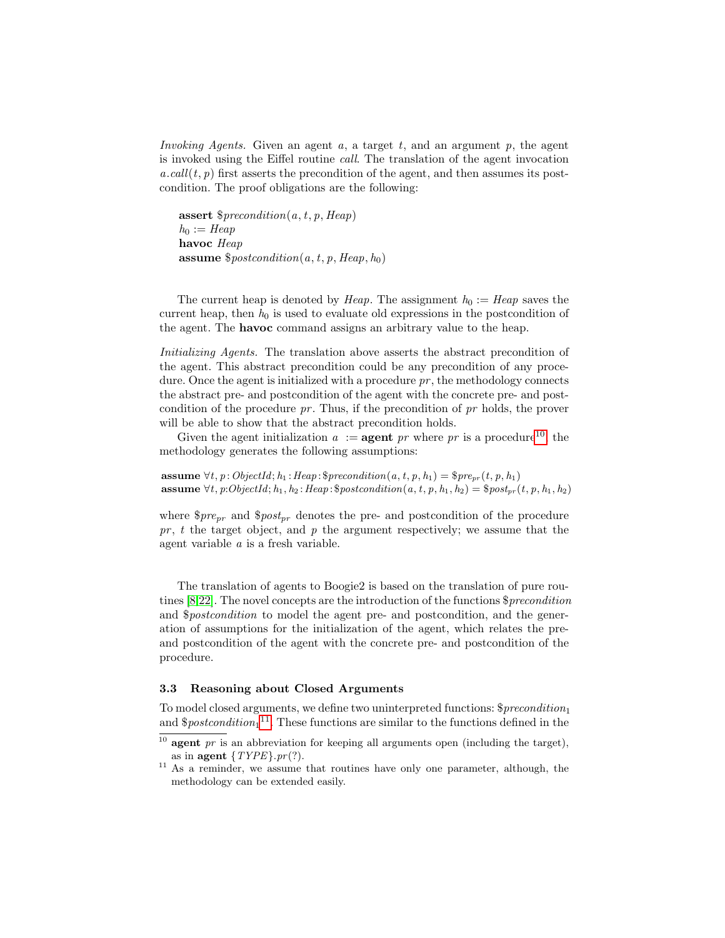Invoking Agents. Given an agent  $a$ , a target  $t$ , and an argument  $p$ , the agent is invoked using the Eiffel routine call. The translation of the agent invocation a.call $(t, p)$  first asserts the precondition of the agent, and then assumes its postcondition. The proof obligations are the following:

assert  $$ precondition(a, t, p,Heap)$  $h_0 := \text{Heap}$ havoc Heap assume  $$postcondition(a, t, p, \text{Heap}, h_0)$ 

The current heap is denoted by *Heap*. The assignment  $h_0 := \text{Heap}$  saves the current heap, then  $h_0$  is used to evaluate old expressions in the postcondition of the agent. The havoc command assigns an arbitrary value to the heap.

Initializing Agents. The translation above asserts the abstract precondition of the agent. This abstract precondition could be any precondition of any procedure. Once the agent is initialized with a procedure  $pr$ , the methodology connects the abstract pre- and postcondition of the agent with the concrete pre- and postcondition of the procedure  $pr$ . Thus, if the precondition of  $pr$  holds, the prover will be able to show that the abstract precondition holds.

Given the agent initialization  $a := \text{agent } pr$  where pr is a procedure<sup>[10](#page-6-1)</sup>, the methodology generates the following assumptions:

assume  $\forall t, p : ObjectId; h_1 :Heap: \$ precondition(a, t, p, h_1) = \$pre_{pr}(t, p, h_1)$ assume  $\forall t, p:ObjectId; h_1, h_2:Heap: \$ postcondition(a, t, p, h_1, h_2) = \$post_{pr}(t, p, h_1, h_2)$ 

where  $\oint \text{pre}_{pr}$  and  $\oint \text{post}_{pr}$  denotes the pre- and postcondition of the procedure  $pr, t$  the target object, and  $p$  the argument respectively; we assume that the agent variable a is a fresh variable.

The translation of agents to Boogie2 is based on the translation of pure routines [\[8](#page-17-1)[,22\]](#page-17-2). The novel concepts are the introduction of the functions \$precondition and \$postcondition to model the agent pre- and postcondition, and the generation of assumptions for the initialization of the agent, which relates the preand postcondition of the agent with the concrete pre- and postcondition of the procedure.

#### <span id="page-6-0"></span>3.3 Reasoning about Closed Arguments

To model closed arguments, we define two uninterpreted functions:  $$ precondition_1$ and  $$postcondition<sub>1</sub><sup>11</sup>$  $$postcondition<sub>1</sub><sup>11</sup>$  $$postcondition<sub>1</sub><sup>11</sup>$ . These functions are similar to the functions defined in the

<span id="page-6-1"></span> $\frac{10}{10}$  agent pr is an abbreviation for keeping all arguments open (including the target), as in agent  $\{TYPE\}.pr(?)$ .

<span id="page-6-2"></span><sup>&</sup>lt;sup>11</sup> As a reminder, we assume that routines have only one parameter, although, the methodology can be extended easily.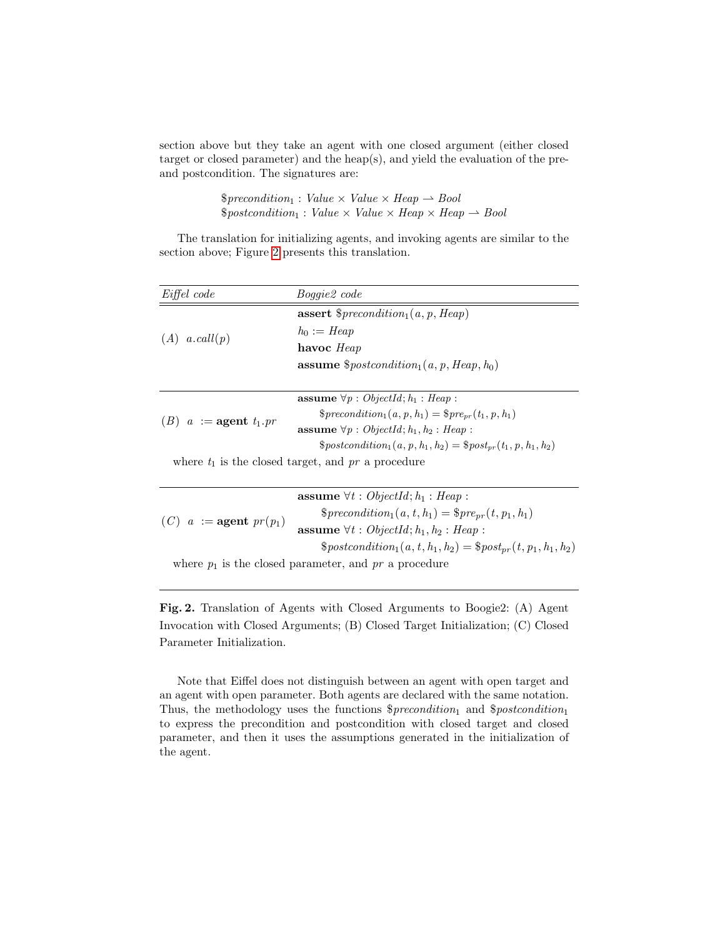section above but they take an agent with one closed argument (either closed target or closed parameter) and the heap(s), and yield the evaluation of the preand postcondition. The signatures are:

> $$precondition_1: Value \times Value \times Heap \rightarrow Bool$  $$postcondition_1: Value \times Value \times Heavy\}=Book$

The translation for initializing agents, and invoking agents are similar to the section above; Figure [2](#page-7-0) presents this translation.

| Eiffel code                 | <i>Boggie2</i> code                                                                                                                                                                                                                                           |  |  |
|-----------------------------|---------------------------------------------------------------------------------------------------------------------------------------------------------------------------------------------------------------------------------------------------------------|--|--|
| $(A)$ a.call $(p)$          | <b>assert</b> $$ precondition_1(a, p,Heap)$<br>$h_0 := \text{Heap}$<br>havoc <i>Heap</i><br><b>assume</b> $$postcondition_1(a, p,Heap, h_0)$                                                                                                                  |  |  |
| $(B)$ a := agent $t_1$ . pr | <b>assume</b> $\forall p : ObjectId$ ; $h_1 :Heap$ :<br>$\text{\$precondition}_1(a, p, h_1) = \text{\$preatrix}_1(t_1, p, h_1)$<br><b>assume</b> $\forall p : ObjectId; h_1, h_2 :Heap:$<br>$$postcondition_1(a, p, h_1, h_2) = $post_{pr}(t_1, p, h_1, h_2)$ |  |  |

where  $t_1$  is the closed target, and  $pr$  a procedure

|                            | <b>assume</b> $\forall t : ObjectId; h_1 :Heap:$                  |
|----------------------------|-------------------------------------------------------------------|
| $(C)$ a := agent $pr(p_1)$ | $$ precondition_1(a, t, h_1) = $pre_{pr}(t, p_1, h_1)$$           |
|                            | assume $\forall t : ObjectId; h_1, h_2 :Heap:$                    |
|                            | $$postcondition_1(a, t, h_1, h_2) = $post_{pr}(t, p_1, h_1, h_2)$ |
|                            | where $p_1$ is the closed parameter, and pr a procedure           |

<span id="page-7-0"></span>Fig. 2. Translation of Agents with Closed Arguments to Boogie2: (A) Agent Invocation with Closed Arguments; (B) Closed Target Initialization; (C) Closed Parameter Initialization.

Note that Eiffel does not distinguish between an agent with open target and an agent with open parameter. Both agents are declared with the same notation. Thus, the methodology uses the functions  $$precondition<sub>1</sub>$  and  $$postcondition<sub>1</sub>$ to express the precondition and postcondition with closed target and closed parameter, and then it uses the assumptions generated in the initialization of the agent.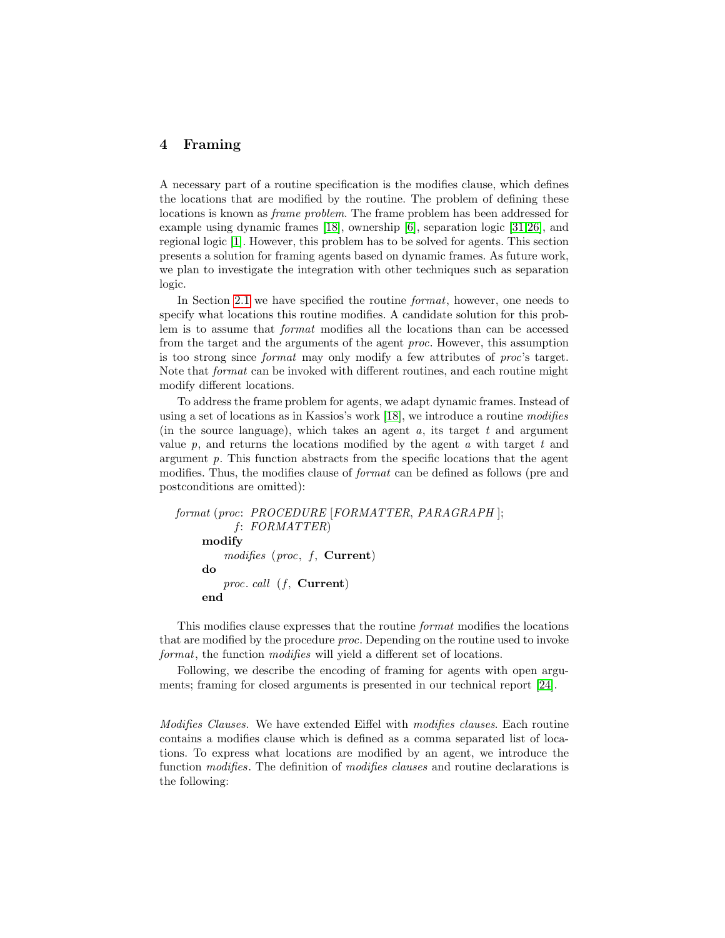# <span id="page-8-0"></span>4 Framing

A necessary part of a routine specification is the modifies clause, which defines the locations that are modified by the routine. The problem of defining these locations is known as frame problem. The frame problem has been addressed for example using dynamic frames [\[18\]](#page-17-7), ownership [\[6\]](#page-17-8), separation logic [\[31,](#page-18-0)[26\]](#page-17-9), and regional logic [\[1\]](#page-16-2). However, this problem has to be solved for agents. This section presents a solution for framing agents based on dynamic frames. As future work, we plan to investigate the integration with other techniques such as separation logic.

In Section [2.1](#page-2-2) we have specified the routine *format*, however, one needs to specify what locations this routine modifies. A candidate solution for this problem is to assume that format modifies all the locations than can be accessed from the target and the arguments of the agent proc. However, this assumption is too strong since format may only modify a few attributes of proc's target. Note that format can be invoked with different routines, and each routine might modify different locations.

To address the frame problem for agents, we adapt dynamic frames. Instead of using a set of locations as in Kassios's work [\[18\]](#page-17-7), we introduce a routine modifies (in the source language), which takes an agent  $a$ , its target  $t$  and argument value  $p$ , and returns the locations modified by the agent  $a$  with target  $t$  and argument p. This function abstracts from the specific locations that the agent modifies. Thus, the modifies clause of *format* can be defined as follows (pre and postconditions are omitted):

```
format (proc: PROCEDURE [FORMATTER, PARAGRAPH ];
         f: FORMATTER)modify
        modifies (proc, f, Current)
    do
       proc. call (f, Current)
    end
```
This modifies clause expresses that the routine format modifies the locations that are modified by the procedure proc. Depending on the routine used to invoke format, the function modifies will yield a different set of locations.

Following, we describe the encoding of framing for agents with open arguments; framing for closed arguments is presented in our technical report [\[24\]](#page-17-10).

Modifies Clauses. We have extended Eiffel with modifies clauses. Each routine contains a modifies clause which is defined as a comma separated list of locations. To express what locations are modified by an agent, we introduce the function modifies. The definition of modifies clauses and routine declarations is the following: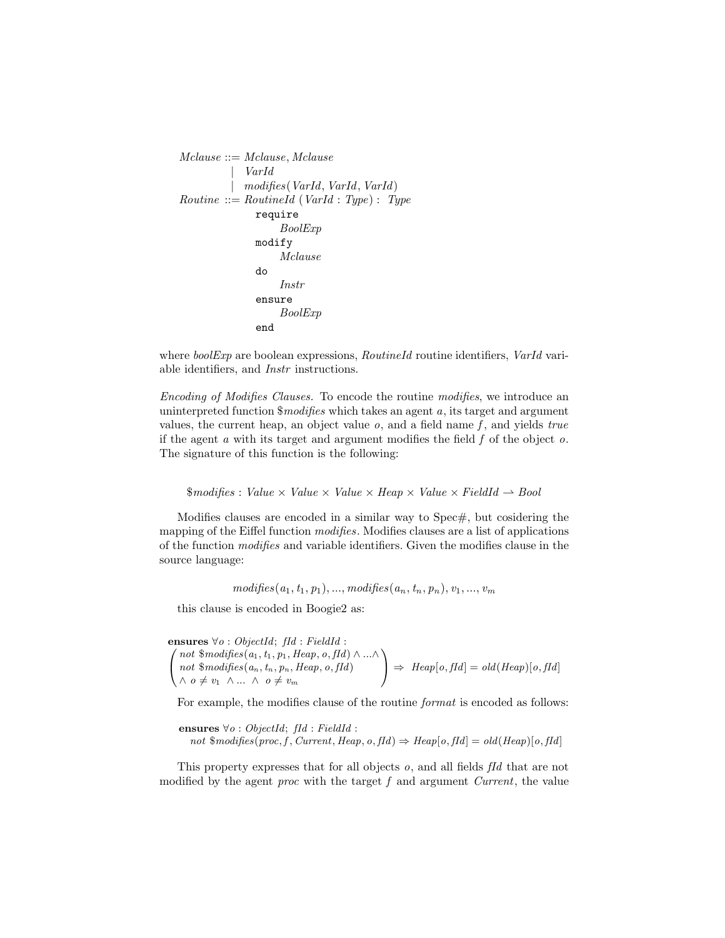```
Mclause ::= Mclause, Mclause| VarId
         | modifies(VarId, VarId, VarId)
Routine ::= Routineld (VarId : Type) : Type
             require
                  BoolExp
             modify
                  Mclause
              do
                  Instr
              ensure
                  BoolExp
              end
```
where boolExp are boolean expressions, *RoutineId* routine identifiers, *VarId* variable identifiers, and *Instr* instructions.

Encoding of Modifies Clauses. To encode the routine modifies, we introduce an uninterpreted function  $\mathcal{F}$  modifies which takes an agent  $a$ , its target and argument values, the current heap, an object value  $o$ , and a field name  $f$ , and yields true if the agent  $\alpha$  with its target and argument modifies the field  $f$  of the object  $\alpha$ . The signature of this function is the following:

 $$modifies: Value \times Value \times Value \times Heavy$ alue  $\times Value \times Value \times FieldId \rightarrow Bool$ 

Modifies clauses are encoded in a similar way to  $Spec \#$ , but cosidering the mapping of the Eiffel function *modifies*. Modifies clauses are a list of applications of the function modifies and variable identifiers. Given the modifies clause in the source language:

 $modifies(a_1, t_1, p_1), ..., modifies(a_n, t_n, p_n), v_1, ..., v_m$ 

this clause is encoded in Boogie2 as:

ensures  $\forall o: ObjectId; fId : FieldId :$  $\sqrt{ }$  $\overline{1}$ not  $$modules(a_1, t_1, p_1, Heap, o, fld) \wedge ... \wedge$ not  $$modifies(a_n, t_n, p_n, Heap, o, fld)$  $\wedge$   $o \neq v_1$   $\wedge \dots$   $\wedge$   $o \neq v_m$  $\setminus$  $\Rightarrow$  Heap[o, fId] = old(Heap)[o, fId]

For example, the modifies clause of the routine format is encoded as follows:

ensures  $\forall o : ObjectId; fId : FieldId :$ not  $$modules(proc, f, Current,Heap, o, fd) \Rightarrow Heap[o, fd] = old(Heap)[o, fd]$ 

This property expresses that for all objects  $o$ , and all fields fId that are not modified by the agent *proc* with the target  $f$  and argument *Current*, the value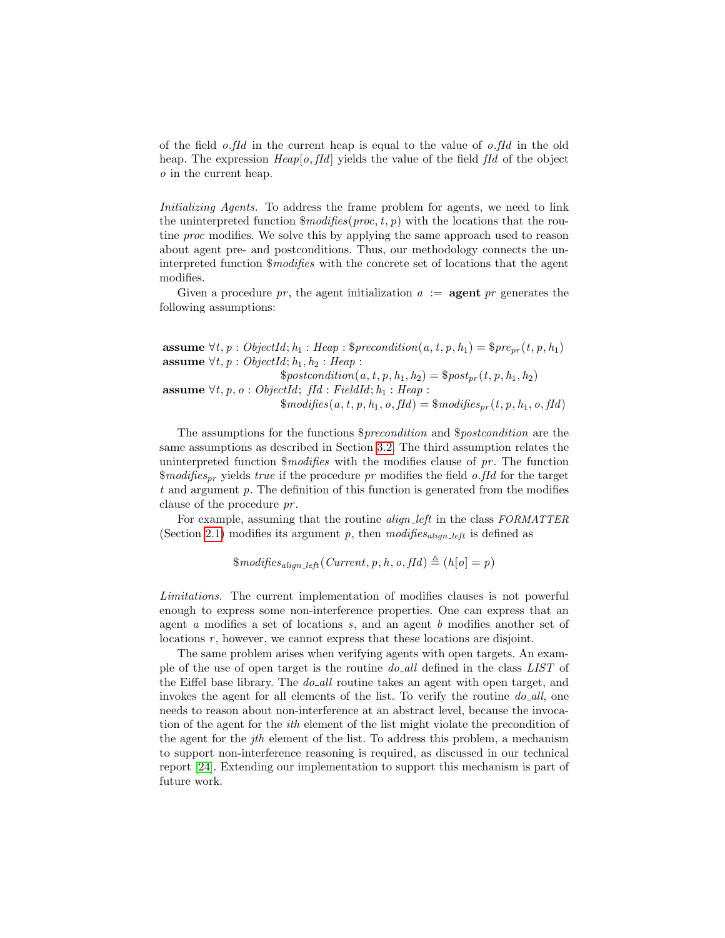of the field o.fId in the current heap is equal to the value of o.fId in the old heap. The expression  $Heap[o, fId]$  yields the value of the field fId of the object o in the current heap.

Initializing Agents. To address the frame problem for agents, we need to link the uninterpreted function  $\mathcal{S}$ *modifies(proc, t, p)* with the locations that the routine proc modifies. We solve this by applying the same approach used to reason about agent pre- and postconditions. Thus, our methodology connects the uninterpreted function \$modifies with the concrete set of locations that the agent modifies.

Given a procedure pr, the agent initialization  $a := \text{agent } pr$  generates the following assumptions:

assume  $\forall t, p : ObjectId; h_1 :Heap: \$ precondition(a, t, p, h_1) = \$pre_{\text{pr}}(t, p, h_1)$ assume  $\forall t, p : ObjectId; h_1, h_2 :Heap:$  $\text{\$postcondition}(a, t, p, h_1, h_2) = \text{\$post}_{\text{pr}}(t, p, h_1, h_2)$ assume  $\forall t, p, o: ObjectId; fId : FieldId; h_1 :Heap :$  $\text{\textsterling}{{\mathfrak{F}}}{{\mathfrak{m}}}{{\mathfrak{od}}}{{\mathfrak{f}}{\mathfrak{f}}{\mathfrak{e}}}(a,t,p,h_1,o,f{Id})=\text{\textsterling}{{\mathfrak{m}}}{{\mathfrak{od}}}{{\mathfrak{f}}{\mathfrak{f}}{\mathfrak{e}}}{{\mathfrak{f}}}_{p r}(t,p,h_1,o,f{Id})$ 

The assumptions for the functions \$precondition and \$postcondition are the same assumptions as described in Section [3.2.](#page-5-2) The third assumption relates the uninterpreted function  $\mathcal{S}$  modifies with the modifies clause of pr. The function  $\mathcal{S}$ *modifies*<sub>pr</sub> yields true if the procedure pr modifies the field o.fId for the target t and argument  $p$ . The definition of this function is generated from the modifies clause of the procedure pr.

For example, assuming that the routine *align\_left* in the class  $FORMATTER$ (Section [2.1\)](#page-2-2) modifies its argument p, then  $modifies_{align\_left}$  is defined as

$$
\$modifies_{align\_left}(Current, p, h, o, fId) \triangleq (h[o] = p)
$$

Limitations. The current implementation of modifies clauses is not powerful enough to express some non-interference properties. One can express that an agent a modifies a set of locations s, and an agent b modifies another set of locations  $r$ , however, we cannot express that these locations are disjoint.

The same problem arises when verifying agents with open targets. An example of the use of open target is the routine *do\_all* defined in the class LIST of the Eiffel base library. The  $do$ -all routine takes an agent with open target, and invokes the agent for all elements of the list. To verify the routine  $do$ -all, one needs to reason about non-interference at an abstract level, because the invocation of the agent for the *ith* element of the list might violate the precondition of the agent for the *jth* element of the list. To address this problem, a mechanism to support non-interference reasoning is required, as discussed in our technical report [\[24\]](#page-17-10). Extending our implementation to support this mechanism is part of future work.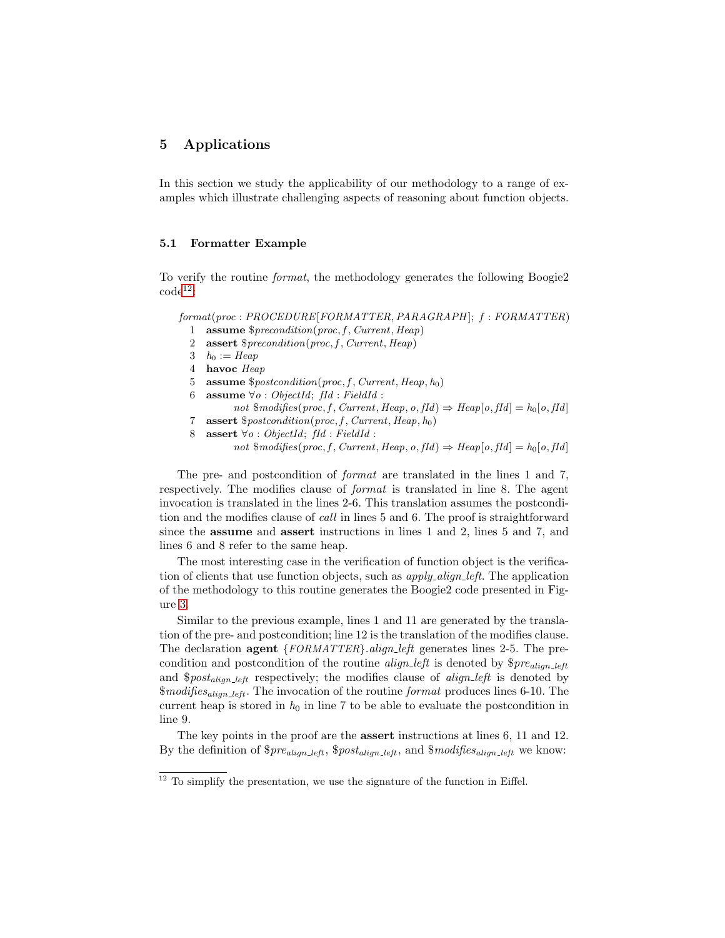## <span id="page-11-0"></span>5 Applications

In this section we study the applicability of our methodology to a range of examples which illustrate challenging aspects of reasoning about function objects.

#### 5.1 Formatter Example

To verify the routine format, the methodology generates the following Boogie2  $code^{12}$  $code^{12}$  $code^{12}$ :

 $format(proc : PROCEDURE[FORMATTER, PARAGRAPH]; f : FORMATTER)$ 

- 1 assume  $$ precondition(proc, f, Current,Heap)$
- 2 assert  $$ precondition(proc, f, Current,Heap)$
- 3  $h_0 := \text{Heap}$
- 4 havoc Heap
- 5 **assume**  $$postcondition(proc, f, Current,Heap, h_0)$
- 6 assume  $\forall o : ObjectId; fId : FieldId :$
- not  $$modifies(proc, f, Current,Heap, o, fld) \Rightarrow Heavy[o, fld] = h_0[o, fld]$
- 7 assert  $$postcondition(proc, f, Current,Heap, h_0)$
- 8 **assert**  $\forall o : ObjectId$ ; fId : FieldId :

not  $$modules(proc, f, Current,Heap, o, fd) \Rightarrow Heap[o, fd] = h<sub>0</sub>[o, fd]$ 

The pre- and postcondition of format are translated in the lines 1 and 7, respectively. The modifies clause of format is translated in line 8. The agent invocation is translated in the lines 2-6. This translation assumes the postcondition and the modifies clause of call in lines 5 and 6. The proof is straightforward since the assume and assert instructions in lines 1 and 2, lines 5 and 7, and lines 6 and 8 refer to the same heap.

The most interesting case in the verification of function object is the verification of clients that use function objects, such as  $apply\_align\_left$ . The application of the methodology to this routine generates the Boogie2 code presented in Figure [3.](#page-12-0)

Similar to the previous example, lines 1 and 11 are generated by the translation of the pre- and postcondition; line 12 is the translation of the modifies clause. The declaration **agent**  ${FORMATTER}$ .*align\_left* generates lines 2-5. The precondition and postcondition of the routine *align\_left* is denoted by  $$pre_{align\_left}$ and  $$post_{align\_left}$  respectively; the modifies clause of *align\_left* is denoted by  $$modified is a *align-left*. The invocation of the routine *format* produces lines 6-10. The$ current heap is stored in  $h_0$  in line 7 to be able to evaluate the postcondition in line 9.

The key points in the proof are the assert instructions at lines 6, 11 and 12. By the definition of  $$pre_{align\_left}$ ,  $$post_{align\_left}$ , and  $$modifies_{align\_left}$  we know:

<span id="page-11-1"></span> $\frac{12}{12}$  To simplify the presentation, we use the signature of the function in Eiffel.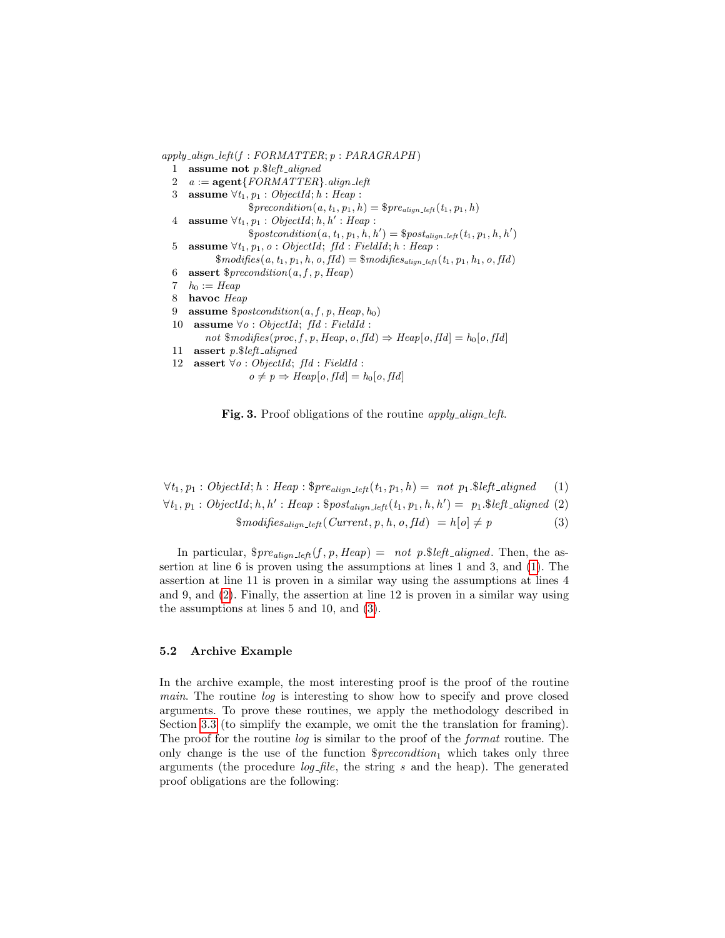$apply\_align\_left(f : FORMATTER; p : PARAGRAPH)$ 1 assume not p.\$left aligned 2  $a := \text{agent} \{FORMATTER\}$ . align\_left 3 **assume**  $\forall t_1, p_1 : ObjectId; h :Heap:$  $$precondition(a, t_1, p_1, h) = $pre_{align\_left}(t_1, p_1, h)$ 4 **assume**  $\forall t_1, p_1 : ObjectId; h, h' :Heap :]$  $$postcondition(a, t_1, p_1, h, h') = $post_{align\_left}(t_1, p_1, h, h')$ 5 assume  $\forall t_1, p_1, o: ObjectId; fId : FieldId; h :Heap:$  $$modifies(a, t_1, p_1, h, o, fId) = $modifies_{align\_left}(t_1, p_1, h_1, o, fId)$ 6 assert  $$ precondition(a, f, p,Heap)$ 7  $h_0 := \text{Heap}$ 8 havoc Heap 9 assume  $$postcondition(a, f, p, \text{Heap}, h_0)$ 10 assume ∀o : ObjectId; fId : FieldId : not  $$modifies(proc, f, p, Heap, o, fld) \Rightarrow Heap[o, fld] = h<sub>0</sub>[o, fld]$ 11 assert p.\$left aligned 12 assert ∀o : ObjectId; fId : FieldId :  $o \neq p \Rightarrow \text{Heap}[o, \text{fld}] = h_0[o, \text{fld}]$ 

<span id="page-12-0"></span>Fig. 3. Proof obligations of the routine *apply\_align\_left*.

<span id="page-12-1"></span>

| $\forall t_1, p_1 : ObjectId; h :Heap: \$pre_{align\_left}(t_1, p_1, h) = not p_1.\$left\_aligned\right]$                     | (1) |
|-------------------------------------------------------------------------------------------------------------------------------|-----|
| $\forall t_1, p_1 : ObjectId; h, h': \text{Heap}: \text{Spost}_{align\_left}(t_1, p_1, h, h') = p_1.\text{Self\_aligned}$ (2) |     |
| $\$\text{modifies}_{align\_\text{left}}(Current, p, h, o, fId) = h[0] \neq p$                                                 | (3) |

In particular,  $$pre_{align\_left}(f, p, \text{Heap}) = not p$.5left\_aligned.$  Then, the assertion at line 6 is proven using the assumptions at lines 1 and 3, and [\(1\)](#page-12-1). The assertion at line 11 is proven in a similar way using the assumptions at lines 4 and 9, and [\(2\)](#page-12-1). Finally, the assertion at line 12 is proven in a similar way using the assumptions at lines 5 and 10, and [\(3\)](#page-12-1).

### 5.2 Archive Example

In the archive example, the most interesting proof is the proof of the routine main. The routine log is interesting to show how to specify and prove closed arguments. To prove these routines, we apply the methodology described in Section [3.3](#page-6-0) (to simplify the example, we omit the the translation for framing). The proof for the routine log is similar to the proof of the format routine. The only change is the use of the function  $\mathcal{E}$ *precondtion*<sub>1</sub> which takes only three arguments (the procedure  $log_{fl}$  file, the string s and the heap). The generated proof obligations are the following: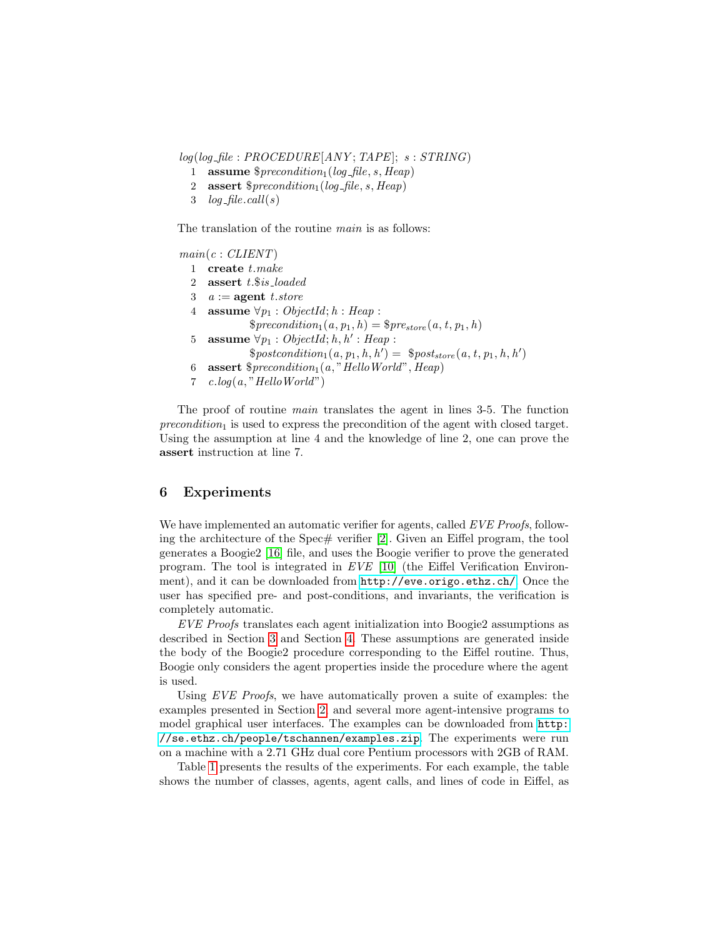$log(log_{\text{f}}ile : PROCEDURE[ANY; TAPE]; s : STRING)$ 

- 1 **assume**  $\text{\$precondition}_1(\text{log-file}, s, \text{Heap})$
- 2 assert  $$ precondition_1(log_-\hat{file}, s,Heap)$
- 3  $log_{\text{f}}$ file.call(s)

The translation of the routine main is as follows:

 $main(c:CLIENT)$ 1 create t.make 2 assert t.\$is loaded 3  $a := \textbf{agent} t.sizere$ 4 **assume**  $\forall p_1 : ObjectId; h :Heap:$  $$ precondition_1(a, p_1, h) = $pre_{store}(a, t, p_1, h)$ 5 assume  $\forall p_1 : ObjectId; h, h' :Heap:$  $$postcondition_1(a, p_1, h, h') = $post_{store}(a, t, p_1, h, h')$}$ 6 assert  $$ precondition_1(a, "Hello World",Heap)$ 7  $c.log(a, "Hello World")$ 

The proof of routine main translates the agent in lines 3-5. The function  $precondition<sub>1</sub>$  is used to express the precondition of the agent with closed target. Using the assumption at line 4 and the knowledge of line 2, one can prove the assert instruction at line 7.

### <span id="page-13-0"></span>6 Experiments

We have implemented an automatic verifier for agents, called EVE Proofs, following the architecture of the Spec $\#$  verifier [\[2\]](#page-16-0). Given an Eiffel program, the tool generates a Boogie2 [\[16\]](#page-17-3) file, and uses the Boogie verifier to prove the generated program. The tool is integrated in EVE [\[10\]](#page-17-11) (the Eiffel Verification Environment), and it can be downloaded from <http://eve.origo.ethz.ch/>. Once the user has specified pre- and post-conditions, and invariants, the verification is completely automatic.

EVE Proofs translates each agent initialization into Boogie2 assumptions as described in Section [3](#page-4-0) and Section [4.](#page-8-0) These assumptions are generated inside the body of the Boogie2 procedure corresponding to the Eiffel routine. Thus, Boogie only considers the agent properties inside the procedure where the agent is used.

Using EVE Proofs, we have automatically proven a suite of examples: the examples presented in Section [2,](#page-2-0) and several more agent-intensive programs to model graphical user interfaces. The examples can be downloaded from [http:](http://se.ethz.ch/people/tschannen/examples.zip) [//se.ethz.ch/people/tschannen/examples.zip](http://se.ethz.ch/people/tschannen/examples.zip). The experiments were run on a machine with a 2.71 GHz dual core Pentium processors with 2GB of RAM.

Table [1](#page-14-0) presents the results of the experiments. For each example, the table shows the number of classes, agents, agent calls, and lines of code in Eiffel, as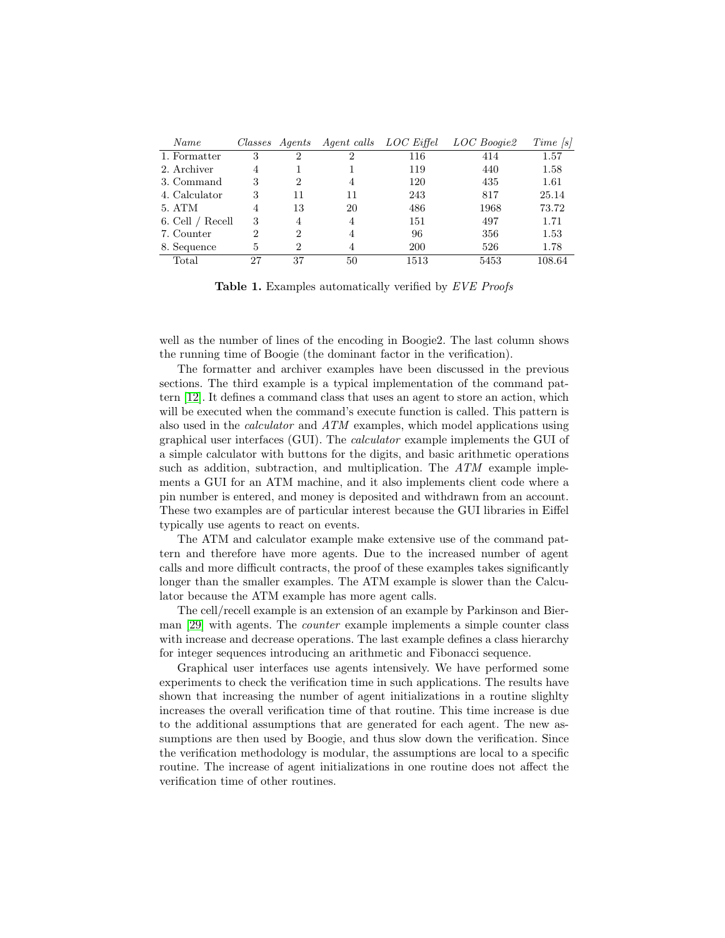| Name             |    | Classes Agents |    | Agent calls LOC Eiffel | LOC Boogie2 | $Time \;  s $ |
|------------------|----|----------------|----|------------------------|-------------|---------------|
| 1. Formatter     | 3  | 2              |    | 116                    | 414         | 1.57          |
| 2. Archiver      | 4  |                |    | 119                    | 440         | 1.58          |
| 3. Command       | 3  | 2              | 4  | 120                    | 435         | 1.61          |
| 4. Calculator    | 3  | 11             | 11 | 243                    | 817         | 25.14         |
| 5. ATM           | 4  | 13             | 20 | 486                    | 1968        | 73.72         |
| 6. Cell / Recell | 3  | 4              | 4  | 151                    | 497         | 1.71          |
| 7. Counter       | 2  | 2              | 4  | 96                     | 356         | 1.53          |
| 8. Sequence      | 5  | 2              | 4  | 200                    | 526         | 1.78          |
| Total            | 27 | 37             | 50 | 1513                   | 5453        | $108.64\,$    |

<span id="page-14-0"></span>Table 1. Examples automatically verified by EVE Proofs

well as the number of lines of the encoding in Boogie2. The last column shows the running time of Boogie (the dominant factor in the verification).

The formatter and archiver examples have been discussed in the previous sections. The third example is a typical implementation of the command pattern [\[12\]](#page-17-0). It defines a command class that uses an agent to store an action, which will be executed when the command's execute function is called. This pattern is also used in the calculator and ATM examples, which model applications using graphical user interfaces (GUI). The calculator example implements the GUI of a simple calculator with buttons for the digits, and basic arithmetic operations such as addition, subtraction, and multiplication. The ATM example implements a GUI for an ATM machine, and it also implements client code where a pin number is entered, and money is deposited and withdrawn from an account. These two examples are of particular interest because the GUI libraries in Eiffel typically use agents to react on events.

The ATM and calculator example make extensive use of the command pattern and therefore have more agents. Due to the increased number of agent calls and more difficult contracts, the proof of these examples takes significantly longer than the smaller examples. The ATM example is slower than the Calculator because the ATM example has more agent calls.

The cell/recell example is an extension of an example by Parkinson and Bierman [\[29\]](#page-18-1) with agents. The counter example implements a simple counter class with increase and decrease operations. The last example defines a class hierarchy for integer sequences introducing an arithmetic and Fibonacci sequence.

Graphical user interfaces use agents intensively. We have performed some experiments to check the verification time in such applications. The results have shown that increasing the number of agent initializations in a routine slighlty increases the overall verification time of that routine. This time increase is due to the additional assumptions that are generated for each agent. The new assumptions are then used by Boogie, and thus slow down the verification. Since the verification methodology is modular, the assumptions are local to a specific routine. The increase of agent initializations in one routine does not affect the verification time of other routines.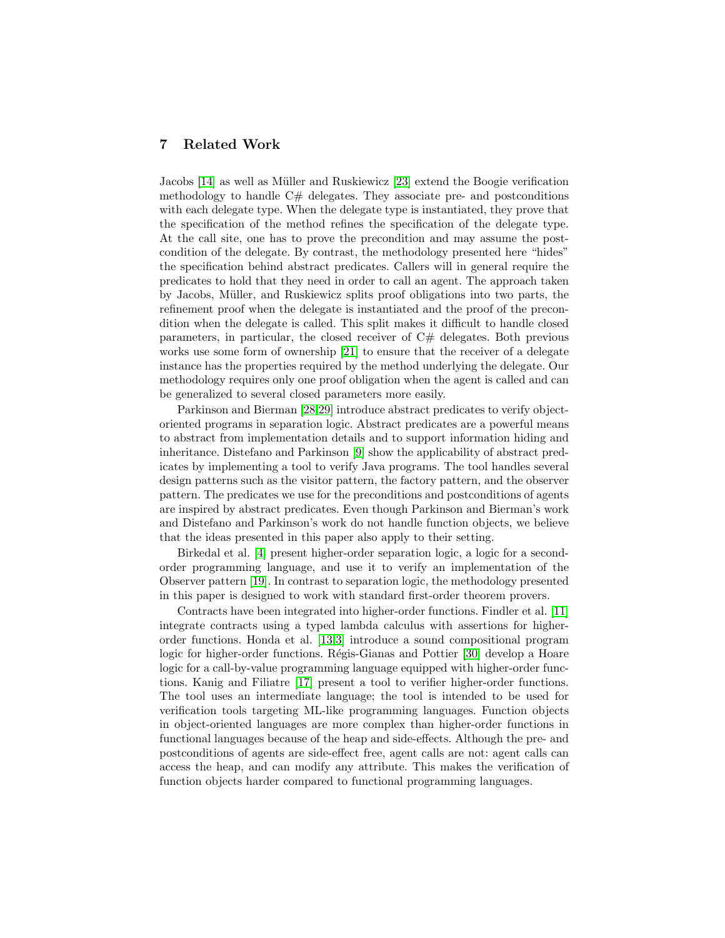## <span id="page-15-0"></span>7 Related Work

Jacobs [\[14\]](#page-17-12) as well as Müller and Ruskiewicz [\[23\]](#page-17-5) extend the Boogie verification methodology to handle  $C#$  delegates. They associate pre- and postconditions with each delegate type. When the delegate type is instantiated, they prove that the specification of the method refines the specification of the delegate type. At the call site, one has to prove the precondition and may assume the postcondition of the delegate. By contrast, the methodology presented here "hides" the specification behind abstract predicates. Callers will in general require the predicates to hold that they need in order to call an agent. The approach taken by Jacobs, M¨uller, and Ruskiewicz splits proof obligations into two parts, the refinement proof when the delegate is instantiated and the proof of the precondition when the delegate is called. This split makes it difficult to handle closed parameters, in particular, the closed receiver of C# delegates. Both previous works use some form of ownership [\[21\]](#page-17-13) to ensure that the receiver of a delegate instance has the properties required by the method underlying the delegate. Our methodology requires only one proof obligation when the agent is called and can be generalized to several closed parameters more easily.

Parkinson and Bierman [\[28](#page-18-2)[,29\]](#page-18-1) introduce abstract predicates to verify objectoriented programs in separation logic. Abstract predicates are a powerful means to abstract from implementation details and to support information hiding and inheritance. Distefano and Parkinson [\[9\]](#page-17-14) show the applicability of abstract predicates by implementing a tool to verify Java programs. The tool handles several design patterns such as the visitor pattern, the factory pattern, and the observer pattern. The predicates we use for the preconditions and postconditions of agents are inspired by abstract predicates. Even though Parkinson and Bierman's work and Distefano and Parkinson's work do not handle function objects, we believe that the ideas presented in this paper also apply to their setting.

Birkedal et al. [\[4\]](#page-17-15) present higher-order separation logic, a logic for a secondorder programming language, and use it to verify an implementation of the Observer pattern [\[19\]](#page-17-16). In contrast to separation logic, the methodology presented in this paper is designed to work with standard first-order theorem provers.

Contracts have been integrated into higher-order functions. Findler et al. [\[11\]](#page-17-17) integrate contracts using a typed lambda calculus with assertions for higherorder functions. Honda et al. [\[13,](#page-17-18)[3\]](#page-16-3) introduce a sound compositional program logic for higher-order functions. Régis-Gianas and Pottier [\[30\]](#page-18-3) develop a Hoare logic for a call-by-value programming language equipped with higher-order functions. Kanig and Filiatre [\[17\]](#page-17-19) present a tool to verifier higher-order functions. The tool uses an intermediate language; the tool is intended to be used for verification tools targeting ML-like programming languages. Function objects in object-oriented languages are more complex than higher-order functions in functional languages because of the heap and side-effects. Although the pre- and postconditions of agents are side-effect free, agent calls are not: agent calls can access the heap, and can modify any attribute. This makes the verification of function objects harder compared to functional programming languages.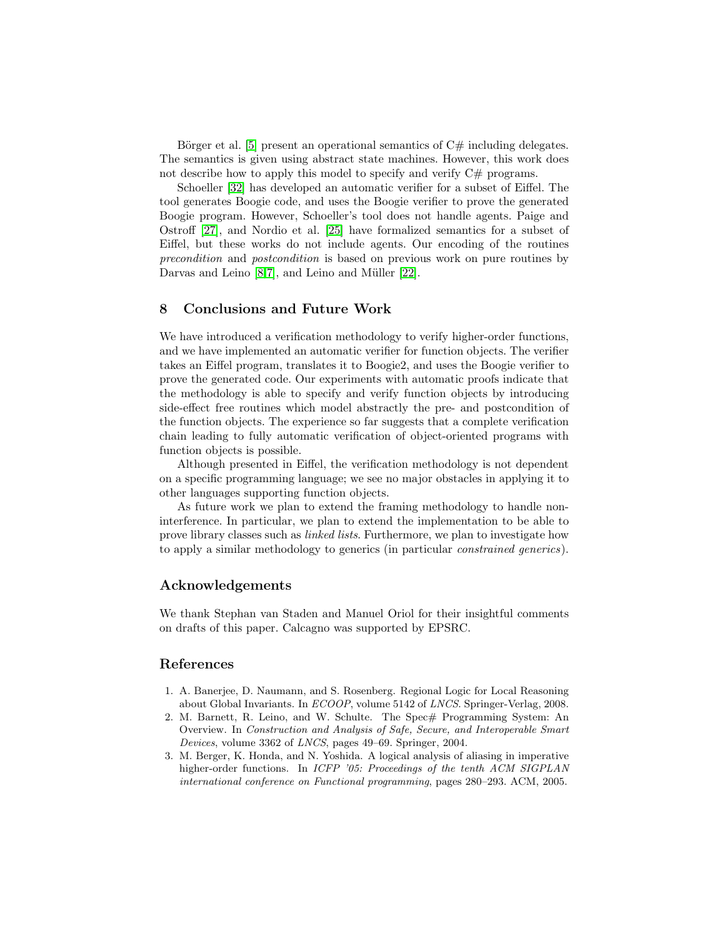Börger et al. [\[5\]](#page-17-20) present an operational semantics of  $C#$  including delegates. The semantics is given using abstract state machines. However, this work does not describe how to apply this model to specify and verify  $C#$  programs.

Schoeller [\[32\]](#page-18-4) has developed an automatic verifier for a subset of Eiffel. The tool generates Boogie code, and uses the Boogie verifier to prove the generated Boogie program. However, Schoeller's tool does not handle agents. Paige and Ostroff [\[27\]](#page-18-5), and Nordio et al. [\[25\]](#page-17-21) have formalized semantics for a subset of Eiffel, but these works do not include agents. Our encoding of the routines precondition and postcondition is based on previous work on pure routines by Darvas and Leino  $[8,7]$  $[8,7]$ , and Leino and Müller  $[22]$ .

# <span id="page-16-1"></span>8 Conclusions and Future Work

We have introduced a verification methodology to verify higher-order functions, and we have implemented an automatic verifier for function objects. The verifier takes an Eiffel program, translates it to Boogie2, and uses the Boogie verifier to prove the generated code. Our experiments with automatic proofs indicate that the methodology is able to specify and verify function objects by introducing side-effect free routines which model abstractly the pre- and postcondition of the function objects. The experience so far suggests that a complete verification chain leading to fully automatic verification of object-oriented programs with function objects is possible.

Although presented in Eiffel, the verification methodology is not dependent on a specific programming language; we see no major obstacles in applying it to other languages supporting function objects.

As future work we plan to extend the framing methodology to handle noninterference. In particular, we plan to extend the implementation to be able to prove library classes such as linked lists. Furthermore, we plan to investigate how to apply a similar methodology to generics (in particular constrained generics).

# Acknowledgements

We thank Stephan van Staden and Manuel Oriol for their insightful comments on drafts of this paper. Calcagno was supported by EPSRC.

# References

- <span id="page-16-2"></span>1. A. Banerjee, D. Naumann, and S. Rosenberg. Regional Logic for Local Reasoning about Global Invariants. In ECOOP, volume 5142 of LNCS. Springer-Verlag, 2008.
- <span id="page-16-0"></span>2. M. Barnett, R. Leino, and W. Schulte. The Spec# Programming System: An Overview. In Construction and Analysis of Safe, Secure, and Interoperable Smart Devices, volume 3362 of LNCS, pages 49–69. Springer, 2004.
- <span id="page-16-3"></span>3. M. Berger, K. Honda, and N. Yoshida. A logical analysis of aliasing in imperative higher-order functions. In ICFP '05: Proceedings of the tenth ACM SIGPLAN international conference on Functional programming, pages 280–293. ACM, 2005.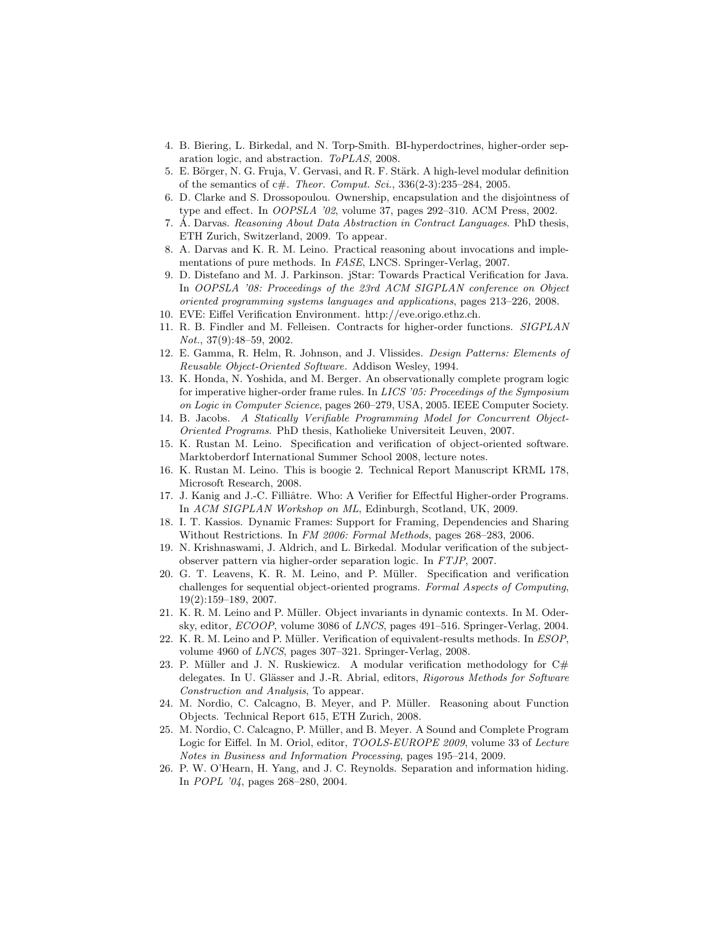- <span id="page-17-15"></span>4. B. Biering, L. Birkedal, and N. Torp-Smith. BI-hyperdoctrines, higher-order separation logic, and abstraction. ToPLAS, 2008.
- <span id="page-17-20"></span>5. E. Börger, N. G. Fruja, V. Gervasi, and R. F. Stärk. A high-level modular definition of the semantics of c#. Theor. Comput. Sci., 336(2-3):235–284, 2005.
- <span id="page-17-8"></span>6. D. Clarke and S. Drossopoulou. Ownership, encapsulation and the disjointness of type and effect. In OOPSLA '02, volume 37, pages 292–310. ACM Press, 2002.
- <span id="page-17-22"></span>7. Á. Darvas. Reasoning About Data Abstraction in Contract Languages. PhD thesis, ETH Zurich, Switzerland, 2009. To appear.
- <span id="page-17-1"></span>8. A. Darvas and K. R. M. Leino. Practical reasoning about invocations and implementations of pure methods. In FASE, LNCS. Springer-Verlag, 2007.
- <span id="page-17-14"></span>9. D. Distefano and M. J. Parkinson. jStar: Towards Practical Verification for Java. In OOPSLA '08: Proceedings of the 23rd ACM SIGPLAN conference on Object oriented programming systems languages and applications, pages 213–226, 2008.
- <span id="page-17-11"></span>10. EVE: Eiffel Verification Environment. http://eve.origo.ethz.ch.
- <span id="page-17-17"></span>11. R. B. Findler and M. Felleisen. Contracts for higher-order functions. SIGPLAN Not., 37(9):48–59, 2002.
- <span id="page-17-0"></span>12. E. Gamma, R. Helm, R. Johnson, and J. Vlissides. Design Patterns: Elements of Reusable Object-Oriented Software. Addison Wesley, 1994.
- <span id="page-17-18"></span>13. K. Honda, N. Yoshida, and M. Berger. An observationally complete program logic for imperative higher-order frame rules. In LICS '05: Proceedings of the Symposium on Logic in Computer Science, pages 260–279, USA, 2005. IEEE Computer Society.
- <span id="page-17-12"></span>14. B. Jacobs. A Statically Verifiable Programming Model for Concurrent Object-Oriented Programs. PhD thesis, Katholieke Universiteit Leuven, 2007.
- <span id="page-17-6"></span>15. K. Rustan M. Leino. Specification and verification of object-oriented software. Marktoberdorf International Summer School 2008, lecture notes.
- <span id="page-17-3"></span>16. K. Rustan M. Leino. This is boogie 2. Technical Report Manuscript KRML 178, Microsoft Research, 2008.
- <span id="page-17-19"></span>17. J. Kanig and J.-C. Filliâtre. Who: A Verifier for Effectful Higher-order Programs. In ACM SIGPLAN Workshop on ML, Edinburgh, Scotland, UK, 2009.
- <span id="page-17-7"></span>18. I. T. Kassios. Dynamic Frames: Support for Framing, Dependencies and Sharing Without Restrictions. In FM 2006: Formal Methods, pages 268–283, 2006.
- <span id="page-17-16"></span>19. N. Krishnaswami, J. Aldrich, and L. Birkedal. Modular verification of the subjectobserver pattern via higher-order separation logic. In FTJP, 2007.
- <span id="page-17-4"></span>20. G. T. Leavens, K. R. M. Leino, and P. M¨uller. Specification and verification challenges for sequential object-oriented programs. Formal Aspects of Computing, 19(2):159–189, 2007.
- <span id="page-17-13"></span>21. K. R. M. Leino and P. Müller. Object invariants in dynamic contexts. In M. Odersky, editor, ECOOP, volume 3086 of LNCS, pages 491–516. Springer-Verlag, 2004.
- <span id="page-17-2"></span>22. K. R. M. Leino and P. Müller. Verification of equivalent-results methods. In ESOP, volume 4960 of LNCS, pages 307–321. Springer-Verlag, 2008.
- <span id="page-17-5"></span>23. P. Müller and J. N. Ruskiewicz. A modular verification methodology for  $C#$ delegates. In U. Glässer and J.-R. Abrial, editors, Rigorous Methods for Software Construction and Analysis, To appear.
- <span id="page-17-10"></span>24. M. Nordio, C. Calcagno, B. Meyer, and P. M¨uller. Reasoning about Function Objects. Technical Report 615, ETH Zurich, 2008.
- <span id="page-17-21"></span>25. M. Nordio, C. Calcagno, P. Müller, and B. Meyer. A Sound and Complete Program Logic for Eiffel. In M. Oriol, editor, TOOLS-EUROPE 2009, volume 33 of Lecture Notes in Business and Information Processing, pages 195–214, 2009.
- <span id="page-17-9"></span>26. P. W. O'Hearn, H. Yang, and J. C. Reynolds. Separation and information hiding. In POPL '04, pages 268–280, 2004.